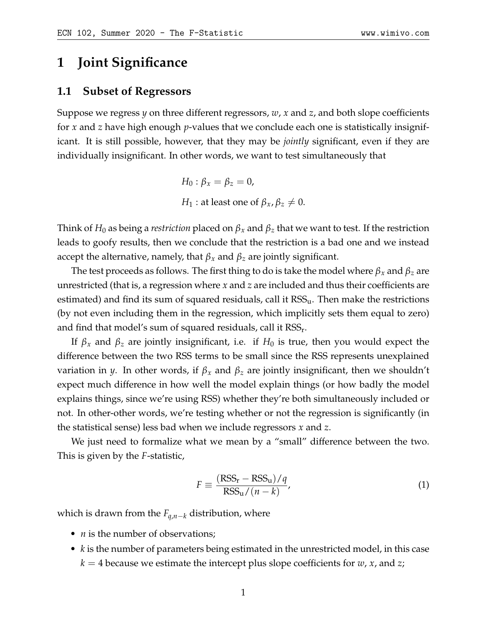# **1 Joint Significance**

#### **1.1 Subset of Regressors**

Suppose we regress *y* on three different regressors, *w*, *x* and *z*, and both slope coefficients for *x* and *z* have high enough *p*-values that we conclude each one is statistically insignificant. It is still possible, however, that they may be *jointly* significant, even if they are individually insignificant. In other words, we want to test simultaneously that

> *H*<sub>0</sub> :  $\beta_x = \beta_z = 0$ , *H*<sub>1</sub> : at least one of  $\beta_x$ ,  $\beta_z \neq 0$ .

Think of  $H_0$  as being a *restriction* placed on  $\beta_x$  and  $\beta_z$  that we want to test. If the restriction leads to goofy results, then we conclude that the restriction is a bad one and we instead accept the alternative, namely, that  $\beta_x$  and  $\beta_z$  are jointly significant.

The test proceeds as follows. The first thing to do is take the model where *β<sup>x</sup>* and *β<sup>z</sup>* are unrestricted (that is, a regression where *x* and *z* are included and thus their coefficients are estimated) and find its sum of squared residuals, call it  $RSS<sub>u</sub>$ . Then make the restrictions (by not even including them in the regression, which implicitly sets them equal to zero) and find that model's sum of squared residuals, call it  $\text{RSS}_{\text{r}}$ .

If  $\beta_x$  and  $\beta_z$  are jointly insignificant, i.e. if  $H_0$  is true, then you would expect the difference between the two RSS terms to be small since the RSS represents unexplained variation in *y*. In other words, if *β<sup>x</sup>* and *β<sup>z</sup>* are jointly insignificant, then we shouldn't expect much difference in how well the model explain things (or how badly the model explains things, since we're using RSS) whether they're both simultaneously included or not. In other-other words, we're testing whether or not the regression is significantly (in the statistical sense) less bad when we include regressors *x* and *z*.

We just need to formalize what we mean by a "small" difference between the two. This is given by the *F*-statistic,

$$
F \equiv \frac{(\text{RSS}_{\text{r}} - \text{RSS}_{\text{u}})/q}{\text{RSS}_{\text{u}}/(n-k)},
$$
\n(1)

which is drawn from the  $F_{q,n-k}$  distribution, where

- *n* is the number of observations;
- *k* is the number of parameters being estimated in the unrestricted model, in this case  $k = 4$  because we estimate the intercept plus slope coefficients for *w*, *x*, and *z*;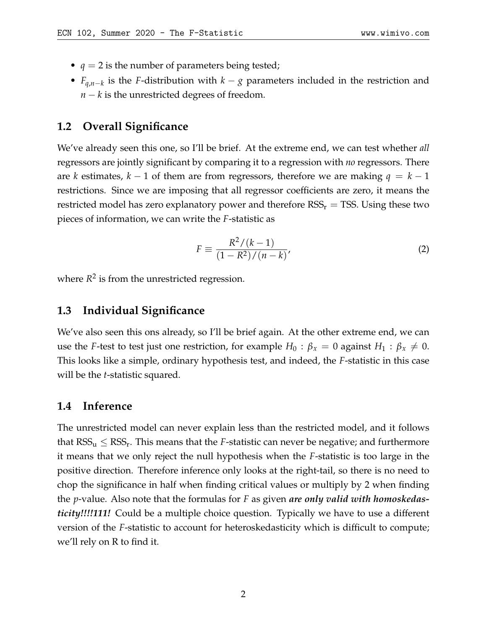- $q = 2$  is the number of parameters being tested;
- *Fq*,*n*−*<sup>k</sup>* is the *F*-distribution with *k* − *g* parameters included in the restriction and *n* − *k* is the unrestricted degrees of freedom.

## **1.2 Overall Significance**

We've already seen this one, so I'll be brief. At the extreme end, we can test whether *all* regressors are jointly significant by comparing it to a regression with *no* regressors. There are *k* estimates, *k* − 1 of them are from regressors, therefore we are making *q* = *k* − 1 restrictions. Since we are imposing that all regressor coefficients are zero, it means the restricted model has zero explanatory power and therefore  $RSS_r = TSS$ . Using these two pieces of information, we can write the *F*-statistic as

$$
F \equiv \frac{R^2/(k-1)}{(1 - R^2)/(n - k)},
$$
\n(2)

where  $R^2$  is from the unrestricted regression.

### **1.3 Individual Significance**

We've also seen this ons already, so I'll be brief again. At the other extreme end, we can use the *F*-test to test just one restriction, for example  $H_0$ :  $\beta_x = 0$  against  $H_1$ :  $\beta_x \neq 0$ . This looks like a simple, ordinary hypothesis test, and indeed, the *F*-statistic in this case will be the *t*-statistic squared.

#### **1.4 Inference**

The unrestricted model can never explain less than the restricted model, and it follows that  $RSS_u \leq RSS_r$ . This means that the *F*-statistic can never be negative; and furthermore it means that we only reject the null hypothesis when the *F*-statistic is too large in the positive direction. Therefore inference only looks at the right-tail, so there is no need to chop the significance in half when finding critical values or multiply by 2 when finding the *p*-value. Also note that the formulas for *F* as given *are only valid with homoskedasticity!!!!111!* Could be a multiple choice question. Typically we have to use a different version of the *F*-statistic to account for heteroskedasticity which is difficult to compute; we'll rely on R to find it.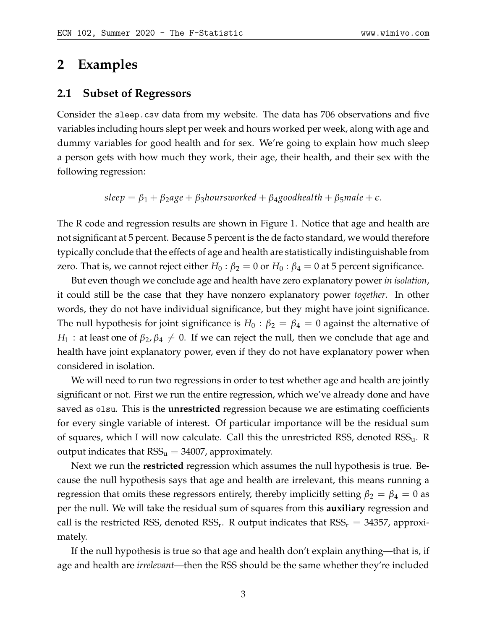## **2 Examples**

## **2.1 Subset of Regressors**

Consider the sleep.csv data from my website. The data has 706 observations and five variables including hours slept per week and hours worked per week, along with age and dummy variables for good health and for sex. We're going to explain how much sleep a person gets with how much they work, their age, their health, and their sex with the following regression:

 $\beta_1 = \beta_1 + \beta_2$ age +  $\beta_3$ hoursworked +  $\beta_4$ goodhealth +  $\beta_5$ male +  $\epsilon$ .

The R code and regression results are shown in Figure [1.](#page-4-0) Notice that age and health are not significant at 5 percent. Because 5 percent is the de facto standard, we would therefore typically conclude that the effects of age and health are statistically indistinguishable from zero. That is, we cannot reject either  $H_0$ :  $\beta_2 = 0$  or  $H_0$ :  $\beta_4 = 0$  at 5 percent significance.

But even though we conclude age and health have zero explanatory power *in isolation*, it could still be the case that they have nonzero explanatory power *together*. In other words, they do not have individual significance, but they might have joint significance. The null hypothesis for joint significance is  $H_0$ :  $\beta_2 = \beta_4 = 0$  against the alternative of *H*<sub>1</sub> : at least one of  $\beta_2$ ,  $\beta_4 \neq 0$ . If we can reject the null, then we conclude that age and health have joint explanatory power, even if they do not have explanatory power when considered in isolation.

We will need to run two regressions in order to test whether age and health are jointly significant or not. First we run the entire regression, which we've already done and have saved as olsu. This is the **unrestricted** regression because we are estimating coefficients for every single variable of interest. Of particular importance will be the residual sum of squares, which I will now calculate. Call this the unrestricted RSS, denoted  $RSS_{u}$ . R output indicates that  $RSS_u = 34007$ , approximately.

Next we run the **restricted** regression which assumes the null hypothesis is true. Because the null hypothesis says that age and health are irrelevant, this means running a regression that omits these regressors entirely, thereby implicitly setting  $\beta_2 = \beta_4 = 0$  as per the null. We will take the residual sum of squares from this **auxiliary** regression and call is the restricted RSS, denoted RSS<sub>r</sub>. R output indicates that  $RSS_r = 34357$ , approximately.

If the null hypothesis is true so that age and health don't explain anything—that is, if age and health are *irrelevant*—then the RSS should be the same whether they're included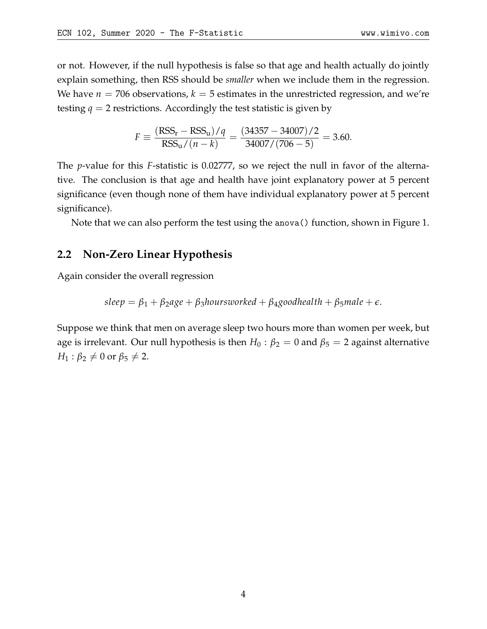or not. However, if the null hypothesis is false so that age and health actually do jointly explain something, then RSS should be *smaller* when we include them in the regression. We have  $n = 706$  observations,  $k = 5$  estimates in the unrestricted regression, and we're testing  $q = 2$  restrictions. Accordingly the test statistic is given by

$$
F \equiv \frac{(RSS_{\rm r} - RSS_{\rm u})/q}{RSS_{\rm u}/(n-k)} = \frac{(34357 - 34007)/2}{34007/(706 - 5)} = 3.60.
$$

The *p*-value for this *F*-statistic is 0.02777, so we reject the null in favor of the alternative. The conclusion is that age and health have joint explanatory power at 5 percent significance (even though none of them have individual explanatory power at 5 percent significance).

Note that we can also perform the test using the anova() function, shown in Figure [1.](#page-4-0)

## **2.2 Non-Zero Linear Hypothesis**

Again consider the overall regression

$$
sleep = \beta_1 + \beta_2 age + \beta_3 hours worked + \beta_4 good health + \beta_5 male + \epsilon.
$$

Suppose we think that men on average sleep two hours more than women per week, but age is irrelevant. Our null hypothesis is then  $H_0$  :  $\beta_2 = 0$  and  $\beta_5 = 2$  against alternative  $H_1$ :  $\beta_2 \neq 0$  or  $\beta_5 \neq 2$ .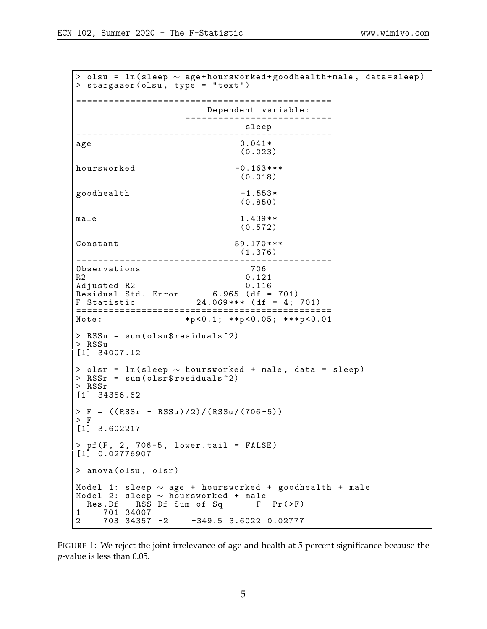<span id="page-4-0"></span>> olsu = lm (sleep  $\sim$  age+hoursworked+goodhealth+male, data=sleep)  $>$  stargazer (olsu, type = "text") =============================================== Dependent variable : -------------------------- sleep<br>---------------------------------------------------------------- age 0.041 \* (0.023)  $hoursworked$   $-0.163***$ (0.018)  $\texttt{goodhealth}$  -1.553\* (0.850) male 1.439 \* \* (0.572) Constant 59.170 \*\*\* (1.376) ----------------------------------------------- Observations 706<br>R2 0.121  $R2$  0.121 Adjusted R2 0.116 Residual Std. Error 6.965 (df = 701) F Statistic 24.069 \* \* \* ( df = 4; 701) ===============================================  $*p < 0.1; **p < 0.05; **p < 0.01$ > RSSu = sum ( olsu \$ residuals ^2) > RSSu [1] 34007.12 > olsr = lm ( sleep ∼ hoursworked + male , data = sleep )  $>$  RSSr = sum(olsr\$ residuals $\hat{}$ 2) > RSSr [1] 34356.62  $> F = ((RSSr - RSSu)/2)/ (RSSu/(706-5))$ > F [1] 3.602217  $>$  pf (F, 2, 706-5, lower.tail = FALSE) [1] 0.02776907 > anova ( olsu , olsr ) <code>Model 1: sleep</code>  $\sim$  age + <code>hoursworked + goodhealth + male</code> Model 2: sleep ∼ hoursworked + male Res.Df RSS Df Sum of Sq F Pr (>F) 1 701 34007<br>2 703 34357 2 703 34357 -2 -349.5 3.6022 0.02777

FIGURE 1: We reject the joint irrelevance of age and health at 5 percent significance because the *p*-value is less than 0.05.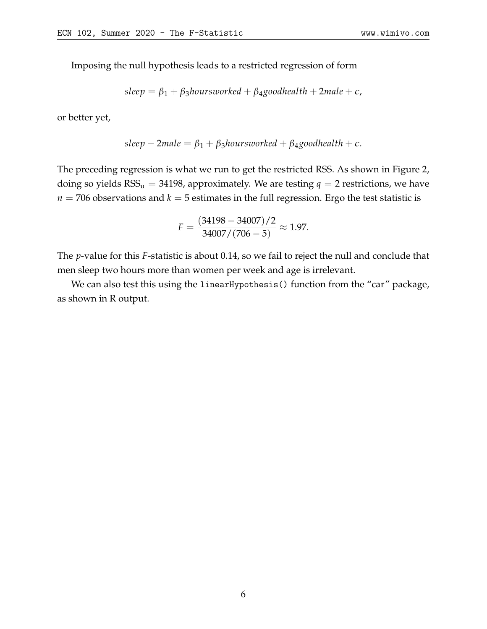Imposing the null hypothesis leads to a restricted regression of form

$$
sleep = \beta_1 + \beta_3 hours worked + \beta_4 good health + 2 male + \epsilon,
$$

or better yet,

$$
sleep-2male = \beta_1 + \beta_3 hours worked + \beta_4 good health + \epsilon.
$$

The preceding regression is what we run to get the restricted RSS. As shown in Figure [2,](#page-6-0) doing so yields  $RSS_u = 34198$ , approximately. We are testing  $q = 2$  restrictions, we have  $n = 706$  observations and  $k = 5$  estimates in the full regression. Ergo the test statistic is

$$
F = \frac{(34198 - 34007)/2}{34007/(706 - 5)} \approx 1.97.
$$

The *p*-value for this *F*-statistic is about 0.14, so we fail to reject the null and conclude that men sleep two hours more than women per week and age is irrelevant.

We can also test this using the linearHypothesis() function from the "car" package, as shown in R output.